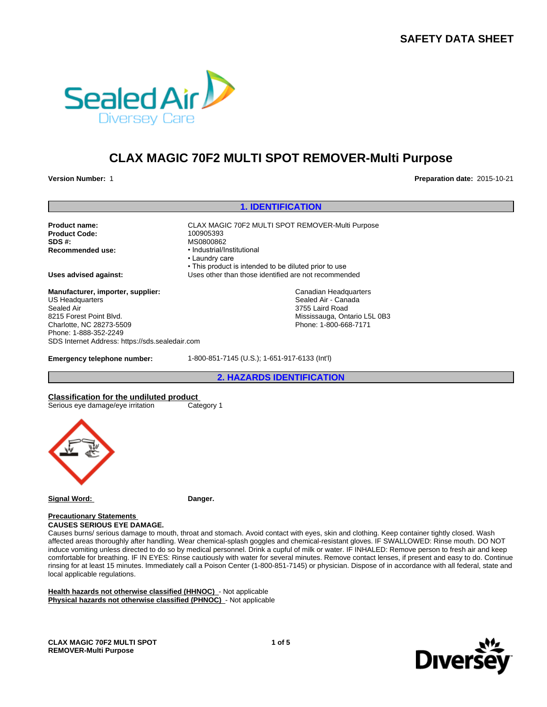# **SAFETY DATA SHEET**



# **CLAX MAGIC 70F2 MULTI SPOT REMOVER-Multi Purpose**

**Version Number:** 1 **Preparation date:** 2015-10-21

# **1. IDENTIFICATION**

**Product Code: SDS #:**<br> **Recommended use:**<br> **Recommended use:**<br> **example:**<br> **example:** 

**Product name:** CLAX MAGIC 70F2 MULTI SPOT REMOVER-Multi Purpose **Recommended use:** •Industrial/Institutional •Laundrycare • This product is intended to be diluted prior to use **Uses advised against:** Uses other than those identified are not recommended Canadian Headquarters Sealed Air - Canada 3755 Laird Road Mississauga, Ontario L5L 0B3

Phone: 1-800-668-7171

**Manufacturer, importer, supplier:** US Headquarters Sealed Air 8215 Forest Point Blvd. Charlotte, NC 28273-5509 Phone: 1-888-352-2249 SDS Internet Address: https://sds.sealedair.com

**Emergency telephone number:** 1-800-851-7145 (U.S.); 1-651-917-6133 (Int'l)

**2. HAZARDS IDENTIFICATION**

**Classification for the undiluted product** Serious eye damage/eye irritation Category 1



**Signal Word:** Danger.

**Precautionary Statements CAUSES SERIOUS EYE DAMAGE.**

Causes burns/ serious damage to mouth, throat and stomach. Avoid contact with eyes, skin and clothing. Keep container tightly closed. Wash affected areas thoroughly after handling. Wear chemical-splash goggles and chemical-resistant gloves. IF SWALLOWED: Rinse mouth. DO NOT induce vomiting unless directed to do so by medical personnel. Drink a cupful of milk or water. IF INHALED: Remove person to fresh air and keep comfortable for breathing. IF IN EYES: Rinse cautiously with water for several minutes. Remove contact lenses, if present and easy to do. Continue rinsing for at least 15 minutes. Immediately call a Poison Center (1-800-851-7145) or physician. Dispose of in accordance with all federal, state and local applicable regulations.

**Health hazards not otherwise classified (HHNOC)** - Not applicable **Physical hazards not otherwise classified (PHNOC)** - Not applicable

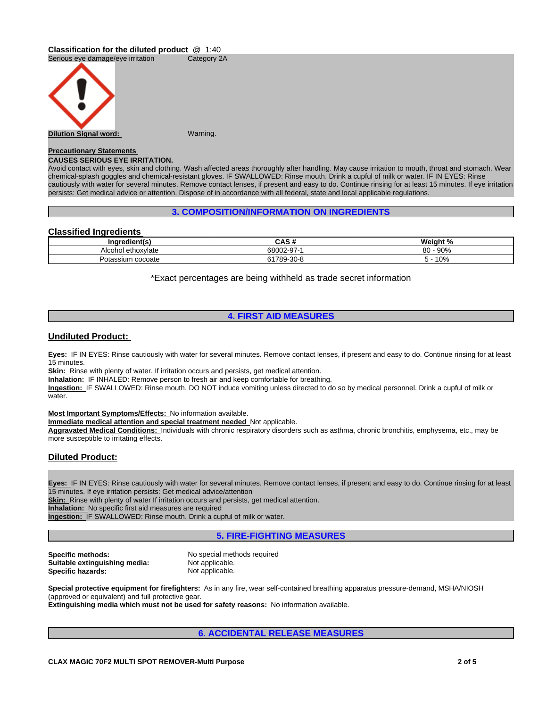#### **Classification for the diluted product** @ 1:40



# **Precautionary Statements**

#### **CAUSES SERIOUS EYE IRRITATION.**

Avoid contact with eyes, skin and clothing. Wash affected areas thoroughly after handling. May cause irritation to mouth, throat and stomach. Wear chemical-splash goggles and chemical-resistant gloves. IF SWALLOWED: Rinse mouth. Drink a cupful of milk or water. IF IN EYES: Rinse cautiously with water for several minutes. Remove contact lenses, if present and easy to do. Continue rinsing for at least 15 minutes. If eye irritation persists: Get medical advice or attention. Dispose of in accordance with all federal, state and local applicable regulations.

#### **3. COMPOSITION/INFORMATION ON INGREDIENTS**

# **Classified Ingredients**

| Ingredient(s)                | $\sim$ $\sim$ $\sim$ $\sim$<br>vas r | Weight %               |
|------------------------------|--------------------------------------|------------------------|
| Alcor<br>I ethoxvlate<br>ושו | 0.000007<br>68002-9                  | 000<br>റ<br>90%<br>ov. |
| ı cocoate<br>Potassium       | $-30 - 8$<br>1789-                   | 10%                    |

\*Exact percentages are being withheld as trade secret information

# **4. FIRST AID MEASURES**

# **Undiluted Product:**

**Eyes:** IF IN EYES: Rinse cautiously with water for several minutes. Remove contact lenses, if present and easy to do. Continue rinsing for at least 15 minutes.

**Skin:** Rinse with plenty of water. If irritation occurs and persists, get medical attention.

**Inhalation:** IF INHALED: Remove person to fresh air and keep comfortable for breathing.

**Ingestion:** IF SWALLOWED: Rinse mouth. DO NOT induce vomiting unless directed to do so by medical personnel. Drink a cupful of milk or water

**Most Important Symptoms/Effects:** No information available.

**Immediate medical attention and special treatment needed** Not applicable.

**Aggravated Medical Conditions:** Individuals with chronic respiratory disorders such as asthma, chronic bronchitis, emphysema, etc., may be more susceptible to irritating effects.

# **Diluted Product:**

**Eyes:** IF IN EYES: Rinse cautiously with water for several minutes. Remove contact lenses, if present and easy to do. Continue rinsing for at least 15 minutes. If eye irritation persists: Get medical advice/attention

**Skin:** Rinse with plenty of water If irritation occurs and persists, get medical attention.

**Inhalation:** No specific first aid measures are required

**Ingestion:** IF SWALLOWED: Rinse mouth. Drink a cupful of milk or water.

# **5. FIRE-FIGHTING MEASURES**

| Specific methods:             |
|-------------------------------|
| Suitable extinguishing media: |
| Specific hazards:             |

No special methods required Not applicable. Not applicable.

**Special protective equipment for firefighters:** As in any fire, wear self-contained breathing apparatus pressure-demand, MSHA/NIOSH (approved or equivalent) and full protective gear.

**Extinguishing media which must not be used for safety reasons:** No information available.

# **6. ACCIDENTAL RELEASE MEASURES**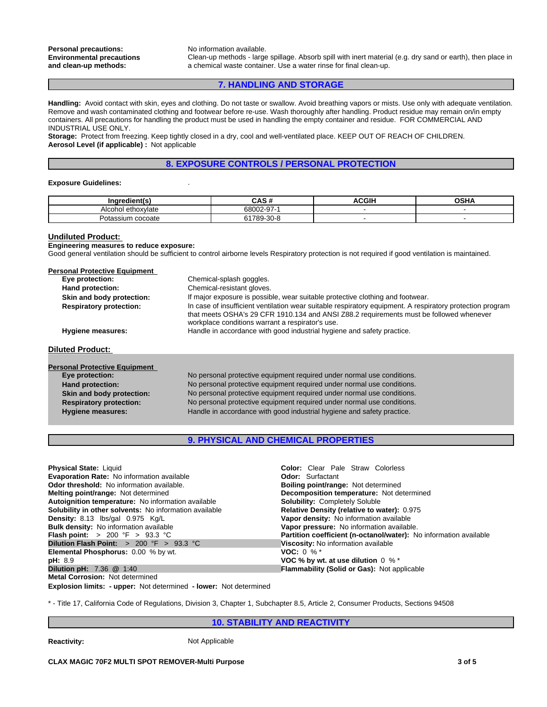Clean-up methods - large spillage. Absorb spill with inert material (e.g. dry sand or earth), then place in a chemical waste container. Use a water rinse for final clean-up.

# **7. HANDLING AND STORAGE**

**Handling:** Avoid contact with skin, eyes and clothing. Do not taste or swallow. Avoid breathing vapors or mists. Use only with adequate ventilation. Remove and wash contaminated clothing and footwear before re-use. Wash thoroughly after handling. Product residue may remain on/in empty containers. All precautions for handling the product must be used in handling the empty container and residue. FOR COMMERCIAL AND INDUSTRIAL USE ONLY.

**Storage:** Protect from freezing. Keep tightly closed in a dry, cool and well-ventilated place. KEEP OUT OF REACH OF CHILDREN. **Aerosol Level (if applicable) :** Not applicable

### **8. EXPOSURE CONTROLS / PERSONAL PROTECTION**

#### **Exposure Guidelines:** .

| liantí<br>⊔nare~<br>чени. | $\mathbf{A} \mathbf{A} \mathbf{A} \mathbf{B}$<br>545 F | 30011 | <b>OCUA</b><br>יודט |
|---------------------------|--------------------------------------------------------|-------|---------------------|
| ethoxvlate<br>Alcor       | 68002-9<br>~-                                          |       |                     |
| cocoate<br>otassium       | 70 <sub>c</sub><br>$\sim$<br>$\sim$ $\sim$<br>.<br>www |       |                     |

#### **Undiluted Product:**

#### **Engineering measures to reduce exposure:**

Good general ventilation should be sufficient to control airborne levels Respiratory protection is not required if good ventilation is maintained.

| <b>Personal Protective Equipment</b> |                                                                                                                                                                                                                                                          |  |
|--------------------------------------|----------------------------------------------------------------------------------------------------------------------------------------------------------------------------------------------------------------------------------------------------------|--|
| Eye protection:                      | Chemical-splash goggles.                                                                                                                                                                                                                                 |  |
| Hand protection:                     | Chemical-resistant gloves.                                                                                                                                                                                                                               |  |
| Skin and body protection:            | If major exposure is possible, wear suitable protective clothing and footwear.                                                                                                                                                                           |  |
| <b>Respiratory protection:</b>       | In case of insufficient ventilation wear suitable respiratory equipment. A respiratory protection program<br>that meets OSHA's 29 CFR 1910.134 and ANSI Z88.2 requirements must be followed whenever<br>workplace conditions warrant a respirator's use. |  |
| <b>Hygiene measures:</b>             | Handle in accordance with good industrial hygiene and safety practice.                                                                                                                                                                                   |  |
| <b>Diluted Product:</b>              |                                                                                                                                                                                                                                                          |  |
| <b>Personal Protective Equipment</b> |                                                                                                                                                                                                                                                          |  |
| Eye protection:                      | No personal protective equipment required under normal use conditions.                                                                                                                                                                                   |  |
| <b>Hand protection:</b>              | No personal protective equipment required under normal use conditions.                                                                                                                                                                                   |  |
| Skin and body protection:            | No personal protective equipment required under normal use conditions.                                                                                                                                                                                   |  |
| <b>Respiratory protection:</b>       | No personal protective equipment required under normal use conditions.                                                                                                                                                                                   |  |
| <b>Hygiene measures:</b>             | Handle in accordance with good industrial hygiene and safety practice.                                                                                                                                                                                   |  |
|                                      |                                                                                                                                                                                                                                                          |  |

# **9. PHYSICAL AND CHEMICAL PROPERTIES**

| <b>Physical State: Liquid</b>                                            | <b>Color:</b> Clear Pale Straw Colorless                          |
|--------------------------------------------------------------------------|-------------------------------------------------------------------|
| <b>Evaporation Rate:</b> No information available                        | <b>Odor:</b> Surfactant                                           |
| <b>Odor threshold:</b> No information available.                         | <b>Boiling point/range: Not determined</b>                        |
| Melting point/range: Not determined                                      | <b>Decomposition temperature:</b> Not determined                  |
| Autoignition temperature: No information available                       | <b>Solubility: Completely Soluble</b>                             |
| Solubility in other solvents: No information available                   | Relative Density (relative to water): 0.975                       |
| <b>Density:</b> 8.13 lbs/gal 0.975 Kg/L                                  | Vapor density: No information available                           |
| <b>Bulk density:</b> No information available                            | Vapor pressure: No information available.                         |
| <b>Flash point:</b> $> 200$ °F $> 93.3$ °C                               | Partition coefficient (n-octanol/water): No information available |
| Dilution Flash Point: $>200$ °F $>93.3$ °C                               | Viscosity: No information available                               |
| <b>Elemental Phosphorus: 0.00 % by wt.</b>                               | <b>VOC:</b> 0 % $*$                                               |
| pH: 8.9                                                                  | VOC % by wt. at use dilution $0\%$ *                              |
| <b>Dilution pH:</b> $7.36 \t@ 1.40$                                      | <b>Flammability (Solid or Gas): Not applicable</b>                |
| <b>Metal Corrosion: Not determined</b>                                   |                                                                   |
| <b>Explosion limits: - upper:</b> Not determined - lower: Not determined |                                                                   |

\* - Title 17, California Code of Regulations, Division 3, Chapter 1, Subchapter 8.5, Article 2, Consumer Products, Sections 94508

### **10. STABILITY AND REACTIVITY**

**Reactivity:** Not Applicable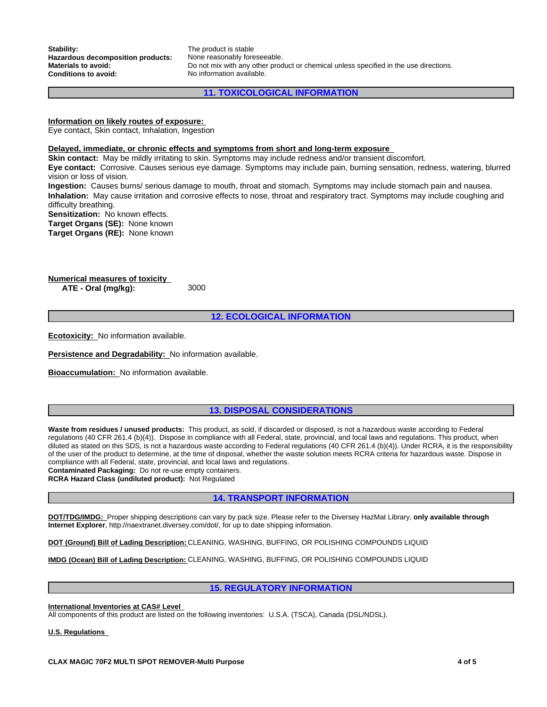**Stability:** The product is stable<br> **Hazardous decomposition products:** None reasonably foreseeable. Hazardous decomposition products:

**Materials to avoid:** Do not mix with any other product or chemical unless specified in the use directions.<br> **Conditions to avoid:** No information available. No information available.

**11. TOXICOLOGICAL INFORMATION**

# **Information on likely routes of exposure:**

Eye contact, Skin contact, Inhalation, Ingestion

#### **Delayed, immediate, or chronic effects and symptoms from short and long-term exposure**

**Skin contact:** May be mildly irritating to skin. Symptoms may include redness and/or transient discomfort. **Eye contact:** Corrosive. Causes serious eye damage. Symptoms may include pain, burning sensation, redness, watering, blurred

vision or loss of vision. **Ingestion:** Causes burns/ serious damage to mouth, throat and stomach. Symptoms may include stomach pain and nausea. **Inhalation:** May cause irritation and corrosive effects to nose, throat and respiratory tract. Symptoms may include coughing and difficulty breathing.

**Sensitization:** No known effects.

**Target Organs (SE):** None known

**Target Organs (RE):** None known

**Numerical measures of toxicity ATE - Oral (mg/kg):** 3000

**12. ECOLOGICAL INFORMATION**

**Ecotoxicity:** No information available.

**Persistence and Degradability:** No information available.

**Bioaccumulation:** No information available.

# **13. DISPOSAL CONSIDERATIONS**

**Waste from residues / unused products:** This product, as sold, if discarded or disposed, is not a hazardous waste according to Federal regulations (40 CFR 261.4 (b)(4)). Dispose in compliance with all Federal, state, provincial, and local laws and regulations. This product, when diluted as stated on this SDS, is not a hazardous waste according to Federal regulations (40 CFR 261.4 (b)(4)). Under RCRA, it is the responsibility of the user of the product to determine, at the time of disposal, whether the waste solution meets RCRA criteria for hazardous waste. Dispose in compliance with all Federal, state, provincial, and local laws and regulations.

**Contaminated Packaging:** Do not re-use empty containers. **RCRA Hazard Class (undiluted product):** Not Regulated

**14. TRANSPORT INFORMATION**

**DOT/TDG/IMDG:** Proper shipping descriptions can vary by pack size. Please refer to the Diversey HazMat Library, **only available through Internet Explorer**, http://naextranet.diversey.com/dot/, for up to date shipping information.

**DOT (Ground) Bill of Lading Description:** CLEANING, WASHING, BUFFING, OR POLISHING COMPOUNDS LIQUID

**IMDG (Ocean) Bill of Lading Description:** CLEANING, WASHING, BUFFING, OR POLISHING COMPOUNDS LIQUID

### **15. REGULATORY INFORMATION**

#### **International Inventories at CAS# Level**

All components of this product are listed on the following inventories: U.S.A. (TSCA), Canada (DSL/NDSL).

**U.S. Regulations**